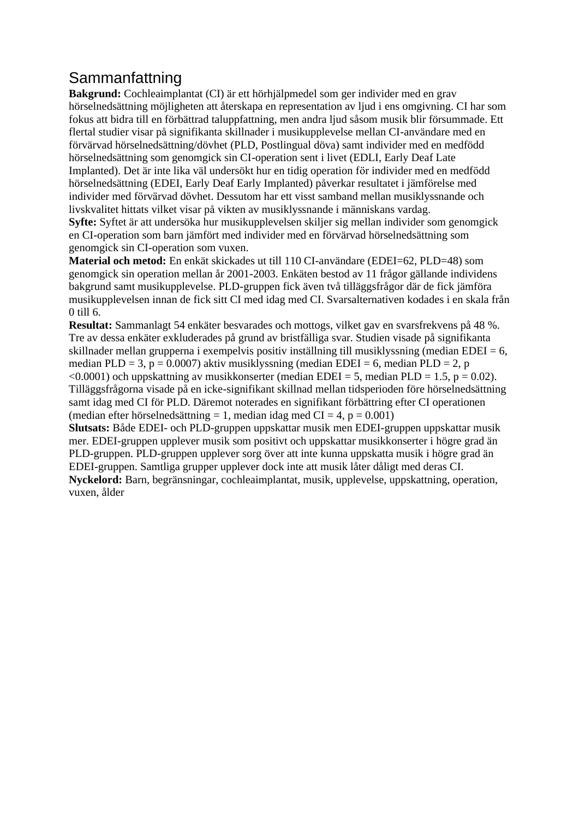## Sammanfattning

**Bakgrund:** Cochleaimplantat (CI) är ett hörhjälpmedel som ger individer med en grav hörselnedsättning möjligheten att återskapa en representation av ljud i ens omgivning. CI har som fokus att bidra till en förbättrad taluppfattning, men andra ljud såsom musik blir försummade. Ett flertal studier visar på signifikanta skillnader i musikupplevelse mellan CI-användare med en förvärvad hörselnedsättning/dövhet (PLD, Postlingual döva) samt individer med en medfödd hörselnedsättning som genomgick sin CI-operation sent i livet (EDLI, Early Deaf Late Implanted). Det är inte lika väl undersökt hur en tidig operation för individer med en medfödd hörselnedsättning (EDEI, Early Deaf Early Implanted) påverkar resultatet i jämförelse med individer med förvärvad dövhet. Dessutom har ett visst samband mellan musiklyssnande och livskvalitet hittats vilket visar på vikten av musiklyssnande i människans vardag. **Syfte:** Syftet är att undersöka hur musikupplevelsen skiljer sig mellan individer som genomgick en CI-operation som barn jämfört med individer med en förvärvad hörselnedsättning som genomgick sin CI-operation som vuxen.

**Material och metod:** En enkät skickades ut till 110 CI-användare (EDEI=62, PLD=48) som genomgick sin operation mellan år 2001-2003. Enkäten bestod av 11 frågor gällande individens bakgrund samt musikupplevelse. PLD-gruppen fick även två tilläggsfrågor där de fick jämföra musikupplevelsen innan de fick sitt CI med idag med CI. Svarsalternativen kodades i en skala från 0 till 6.

**Resultat:** Sammanlagt 54 enkäter besvarades och mottogs, vilket gav en svarsfrekvens på 48 %. Tre av dessa enkäter exkluderades på grund av bristfälliga svar. Studien visade på signifikanta skillnader mellan grupperna i exempelvis positiv inställning till musiklyssning (median EDEI =  $6$ , median PLD = 3,  $p = 0.0007$ ) aktiv musiklyssning (median EDEI = 6, median PLD = 2, p  $\leq$ 0.0001) och uppskattning av musikkonserter (median EDEI = 5, median PLD = 1.5, p = 0.02). Tilläggsfrågorna visade på en icke-signifikant skillnad mellan tidsperioden före hörselnedsättning samt idag med CI för PLD. Däremot noterades en signifikant förbättring efter CI operationen (median efter hörselnedsättning = 1, median idag med  $CI = 4$ ,  $p = 0.001$ )

**Slutsats:** Både EDEI- och PLD-gruppen uppskattar musik men EDEI-gruppen uppskattar musik mer. EDEI-gruppen upplever musik som positivt och uppskattar musikkonserter i högre grad än PLD-gruppen. PLD-gruppen upplever sorg över att inte kunna uppskatta musik i högre grad än EDEI-gruppen. Samtliga grupper upplever dock inte att musik låter dåligt med deras CI. **Nyckelord:** Barn, begränsningar, cochleaimplantat, musik, upplevelse, uppskattning, operation, vuxen, ålder